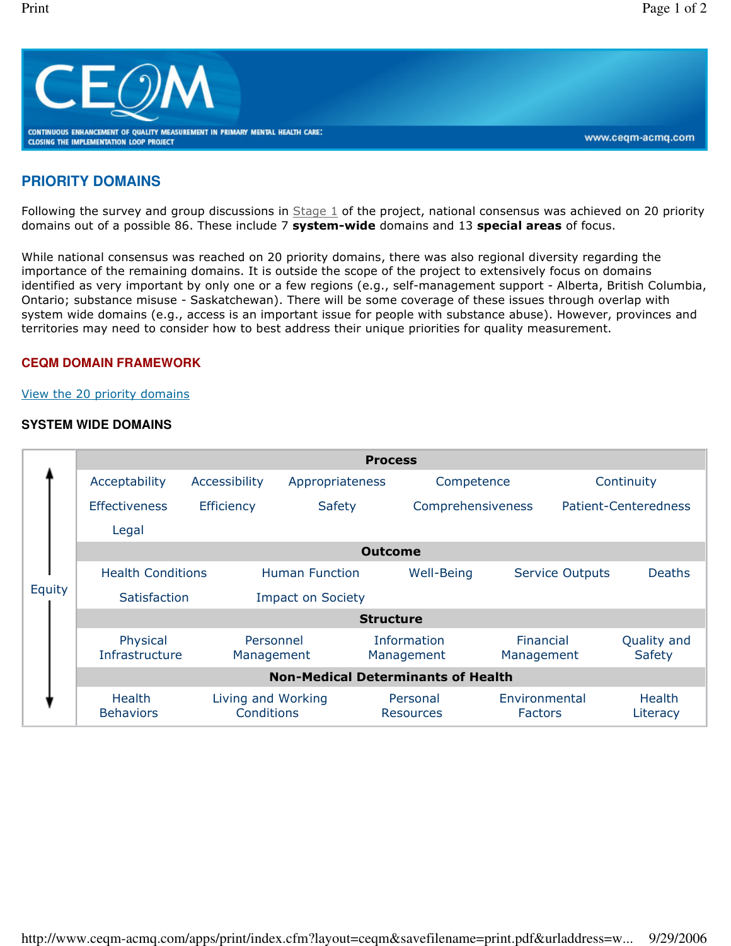

# **PRIORITY DOMAINS**

Following the survey and group discussions in  $Stage 1$  of the project, national consensus was achieved on 20 priority domains out of a possible 86. These include 7 system-wide domains and 13 special areas of focus.

While national consensus was reached on 20 priority domains, there was also regional diversity regarding the importance of the remaining domains. It is outside the scope of the project to extensively focus on domains identified as very important by only one or a few regions (e.g., self-management support - Alberta, British Columbia, Ontario; substance misuse - Saskatchewan). There will be some coverage of these issues through overlap with system wide domains (e.g., access is an important issue for people with substance abuse). However, provinces and territories may need to consider how to best address their unique priorities for quality measurement.

#### **CEQM DOMAIN FRAMEWORK**

#### View the 20 priority domains

### **SYSTEM WIDE DOMAINS**

|        | <b>Process</b>                            |                                  |                       |                                  |                                 |                         |                             |  |  |
|--------|-------------------------------------------|----------------------------------|-----------------------|----------------------------------|---------------------------------|-------------------------|-----------------------------|--|--|
| Equity | Acceptability                             | Accessibility                    | Appropriateness       |                                  | Competence                      |                         | Continuity                  |  |  |
|        | <b>Effectiveness</b>                      | <b>Efficiency</b>                | <b>Safety</b>         | Comprehensiveness                |                                 |                         | <b>Patient-Centeredness</b> |  |  |
|        | Legal                                     |                                  |                       |                                  |                                 |                         |                             |  |  |
|        | <b>Outcome</b>                            |                                  |                       |                                  |                                 |                         |                             |  |  |
|        | <b>Health Conditions</b>                  |                                  | <b>Human Function</b> | Well-Being                       |                                 | <b>Service Outputs</b>  | <b>Deaths</b>               |  |  |
|        | Satisfaction<br><b>Impact on Society</b>  |                                  |                       |                                  |                                 |                         |                             |  |  |
|        | <b>Structure</b>                          |                                  |                       |                                  |                                 |                         |                             |  |  |
|        | Physical<br>Infrastructure                | Personnel<br>Management          |                       | <b>Information</b><br>Management |                                 | Financial<br>Management | Quality and<br>Safety       |  |  |
|        | <b>Non-Medical Determinants of Health</b> |                                  |                       |                                  |                                 |                         |                             |  |  |
|        | <b>Health</b><br><b>Behaviors</b>         | Living and Working<br>Conditions |                       | Personal<br><b>Resources</b>     | Environmental<br><b>Factors</b> |                         | <b>Health</b><br>Literacy   |  |  |